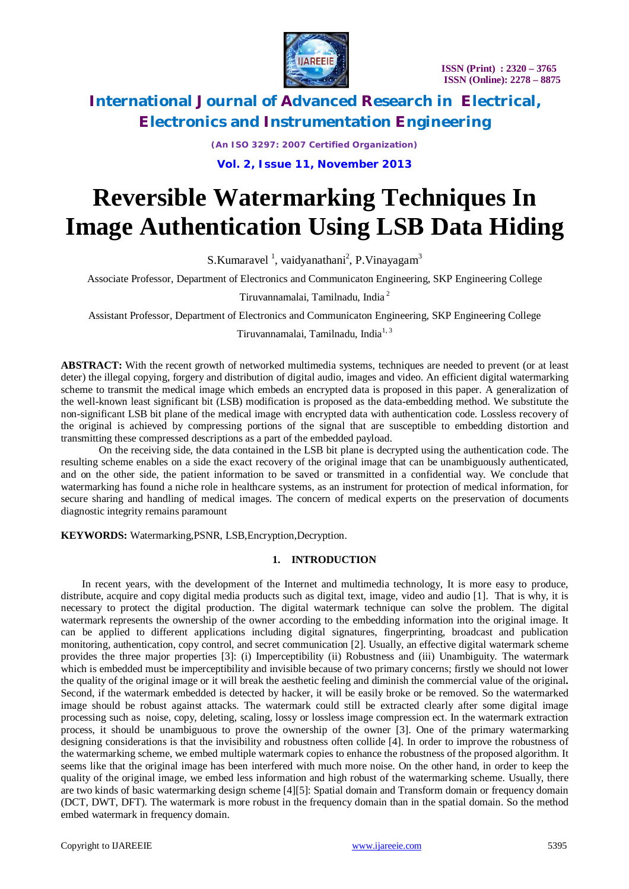

*(An ISO 3297: 2007 Certified Organization)* **Vol. 2, Issue 11, November 2013**

# **Reversible Watermarking Techniques In Image Authentication Using LSB Data Hiding**

S. Kumaravel<sup>1</sup>, vaidyanathani<sup>2</sup>, P. Vinayagam<sup>3</sup>

Associate Professor, Department of Electronics and Communicaton Engineering, SKP Engineering College

Tiruvannamalai, Tamilnadu, India <sup>2</sup>

Assistant Professor, Department of Electronics and Communicaton Engineering, SKP Engineering College

Tiruvannamalai, Tamilnadu, India<sup>1, 3</sup>

**ABSTRACT:** With the recent growth of networked multimedia systems, techniques are needed to prevent (or at least deter) the illegal copying, forgery and distribution of digital audio, images and video. An efficient digital watermarking scheme to transmit the medical image which embeds an encrypted data is proposed in this paper. A generalization of the well-known least significant bit (LSB) modification is proposed as the data-embedding method. We substitute the non-significant LSB bit plane of the medical image with encrypted data with authentication code. Lossless recovery of the original is achieved by compressing portions of the signal that are susceptible to embedding distortion and transmitting these compressed descriptions as a part of the embedded payload.

On the receiving side, the data contained in the LSB bit plane is decrypted using the authentication code. The resulting scheme enables on a side the exact recovery of the original image that can be unambiguously authenticated, and on the other side, the patient information to be saved or transmitted in a confidential way. We conclude that watermarking has found a niche role in healthcare systems, as an instrument for protection of medical information, for secure sharing and handling of medical images. The concern of medical experts on the preservation of documents diagnostic integrity remains paramount

**KEYWORDS:** Watermarking,PSNR, LSB,Encryption,Decryption.

### **1. INTRODUCTION**

In recent years, with the development of the Internet and multimedia technology, It is more easy to produce, distribute, acquire and copy digital media products such as digital text, image, video and audio [1]. That is why, it is necessary to protect the digital production. The digital watermark technique can solve the problem. The digital watermark represents the ownership of the owner according to the embedding information into the original image. It can be applied to different applications including digital signatures, fingerprinting, broadcast and publication monitoring, authentication, copy control, and secret communication [2]. Usually, an effective digital watermark scheme provides the three major properties [3]: (i) Imperceptibility (ii) Robustness and (iii) Unambiguity. The watermark which is embedded must be imperceptibility and invisible because of two primary concerns; firstly we should not lower the quality of the original image or it will break the aesthetic feeling and diminish the commercial value of the original**.**  Second, if the watermark embedded is detected by hacker, it will be easily broke or be removed. So the watermarked image should be robust against attacks. The watermark could still be extracted clearly after some digital image processing such as noise, copy, deleting, scaling, lossy or lossless image compression ect. In the watermark extraction process, it should be unambiguous to prove the ownership of the owner [3]. One of the primary watermarking designing considerations is that the invisibility and robustness often collide [4]. In order to improve the robustness of the watermarking scheme, we embed multiple watermark copies to enhance the robustness of the proposed algorithm. It seems like that the original image has been interfered with much more noise. On the other hand, in order to keep the quality of the original image, we embed less information and high robust of the watermarking scheme. Usually, there are two kinds of basic watermarking design scheme [4][5]: Spatial domain and Transform domain or frequency domain (DCT, DWT, DFT). The watermark is more robust in the frequency domain than in the spatial domain. So the method embed watermark in frequency domain.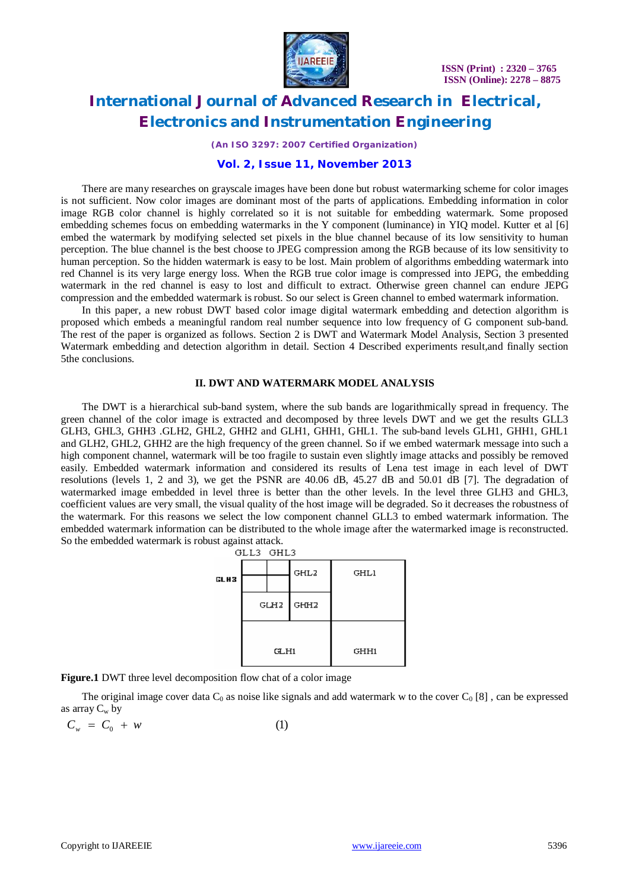

*(An ISO 3297: 2007 Certified Organization)*

### **Vol. 2, Issue 11, November 2013**

There are many researches on grayscale images have been done but robust watermarking scheme for color images is not sufficient. Now color images are dominant most of the parts of applications. Embedding information in color image RGB color channel is highly correlated so it is not suitable for embedding watermark. Some proposed embedding schemes focus on embedding watermarks in the Y component (luminance) in YIQ model. Kutter et al [6] embed the watermark by modifying selected set pixels in the blue channel because of its low sensitivity to human perception. The blue channel is the best choose to JPEG compression among the RGB because of its low sensitivity to human perception. So the hidden watermark is easy to be lost. Main problem of algorithms embedding watermark into red Channel is its very large energy loss. When the RGB true color image is compressed into JEPG, the embedding watermark in the red channel is easy to lost and difficult to extract. Otherwise green channel can endure JEPG compression and the embedded watermark is robust. So our select is Green channel to embed watermark information.

In this paper, a new robust DWT based color image digital watermark embedding and detection algorithm is proposed which embeds a meaningful random real number sequence into low frequency of G component sub-band. The rest of the paper is organized as follows. Section 2 is DWT and Watermark Model Analysis, Section 3 presented Watermark embedding and detection algorithm in detail. Section 4 Described experiments result,and finally section 5the conclusions.

#### **II. DWT AND WATERMARK MODEL ANALYSIS**

The DWT is a hierarchical sub-band system, where the sub bands are logarithmically spread in frequency. The green channel of the color image is extracted and decomposed by three levels DWT and we get the results GLL3 GLH3, GHL3, GHH3 .GLH2, GHL2, GHH2 and GLH1, GHH1, GHL1. The sub-band levels GLH1, GHH1, GHL1 and GLH2, GHL2, GHH2 are the high frequency of the green channel. So if we embed watermark message into such a high component channel, watermark will be too fragile to sustain even slightly image attacks and possibly be removed easily. Embedded watermark information and considered its results of Lena test image in each level of DWT resolutions (levels 1, 2 and 3), we get the PSNR are 40.06 dB, 45.27 dB and 50.01 dB [7]. The degradation of watermarked image embedded in level three is better than the other levels. In the level three GLH3 and GHL3, coefficient values are very small, the visual quality of the host image will be degraded. So it decreases the robustness of the watermark. For this reasons we select the low component channel GLL3 to embed watermark information. The embedded watermark information can be distributed to the whole image after the watermarked image is reconstructed. So the embedded watermark is robust against attack.

| GLL3 GHL3 |  |  |  |  |  |
|-----------|--|--|--|--|--|
|           |  |  |  |  |  |
|           |  |  |  |  |  |
|           |  |  |  |  |  |
|           |  |  |  |  |  |
|           |  |  |  |  |  |

**Figure.1** DWT three level decomposition flow chat of a color image

The original image cover data  $C_0$  as noise like signals and add watermark w to the cover  $C_0$  [8], can be expressed as array  $C_w$  by

$$
C_w = C_0 + w \tag{1}
$$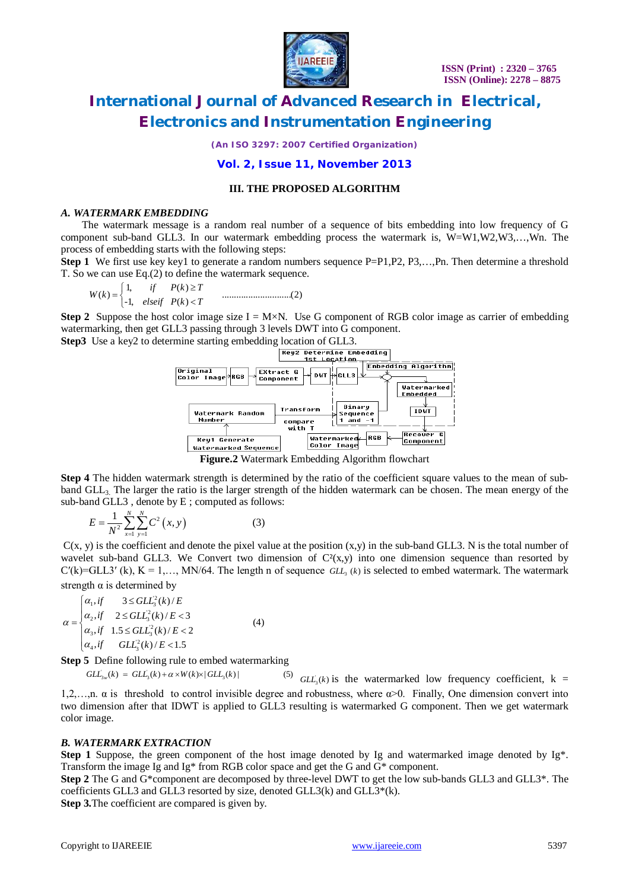

*(An ISO 3297: 2007 Certified Organization)*

### **Vol. 2, Issue 11, November 2013**

#### **III. THE PROPOSED ALGORITHM**

#### *A. WATERMARK EMBEDDING*

The watermark message is a random real number of a sequence of bits embedding into low frequency of G component sub-band GLL3. In our watermark embedding process the watermark is, W=W1,W2,W3,…,Wn. The process of embedding starts with the following steps:

**Step 1** We first use key key1 to generate a random numbers sequence P=P1,P2, P3,...,Pn. Then determine a threshold T. So we can use Eq.(2) to define the watermark sequence.

1, ( ) ( ) .............................(2) -1, ( ) *if P k T W k elseif P k T* 

**Step 2** Suppose the host color image size  $I = M \times N$ . Use G component of RGB color image as carrier of embedding watermarking, then get GLL3 passing through 3 levels DWT into G component.



**Figure.2** Watermark Embedding Algorithm flowchart

**Step 4** The hidden watermark strength is determined by the ratio of the coefficient square values to the mean of subband  $GL<sub>3</sub>$ . The larger the ratio is the larger strength of the hidden watermark can be chosen. The mean energy of the sub-band GLL3 , denote by E ; computed as follows:

$$
E = \frac{1}{N^2} \sum_{x=1}^{N} \sum_{y=1}^{N} C^2 (x, y)
$$
 (3)

 $C(x, y)$  is the coefficient and denote the pixel value at the position  $(x, y)$  in the sub-band GLL3. N is the total number of wavelet sub-band GLL3. We Convert two dimension of  $C<sup>2</sup>(x,y)$  into one dimension sequence than resorted by  $C'(k)=GL_3' (k)$ ,  $K = 1,..., MN/64$ . The length n of sequence  $GL_3 (k)$  is selected to embed watermark. The watermark strength  $\alpha$  is determined by

$$
\alpha = \begin{cases} \alpha_1, if & 3 \leq GLZ_3^2(k)/E \\ \alpha_2, if & 2 \leq GLZ_3^2(k)/E < 3 \\ \alpha_3, if & 1.5 \leq GLZ_3^2(k)/E < 2 \\ \alpha_4, if & GLZ_3^2(k)/E < 1.5 \end{cases}
$$
(4)

**Step 5** Define following rule to embed watermarking

 $GL_{3w}(k) = GL_{3}(k) + \alpha \times W(k) \times |GL_{3}(k)|$  (5)  $GL_{1}$ <sup>(5)</sup> *GLL*, (*k*) is the watermarked low frequency coefficient,  $k =$ 1,2,...,n.  $\alpha$  is threshold to control invisible degree and robustness, where  $\alpha$  >0. Finally, One dimension convert into two dimension after that IDWT is applied to GLL3 resulting is watermarked G component. Then we get watermark color image.

#### *B. WATERMARK EXTRACTION*

**Step 1** Suppose, the green component of the host image denoted by Ig and watermarked image denoted by Ig<sup>\*</sup>. Transform the image Ig and Ig\* from RGB color space and get the G and G\* component.

**Step 2** The G and G\*component are decomposed by three-level DWT to get the low sub-bands GLL3 and GLL3\*. The coefficients GLL3 and GLL3 resorted by size, denoted GLL3(k) and GLL3\*(k).

**Step 3.**The coefficient are compared is given by.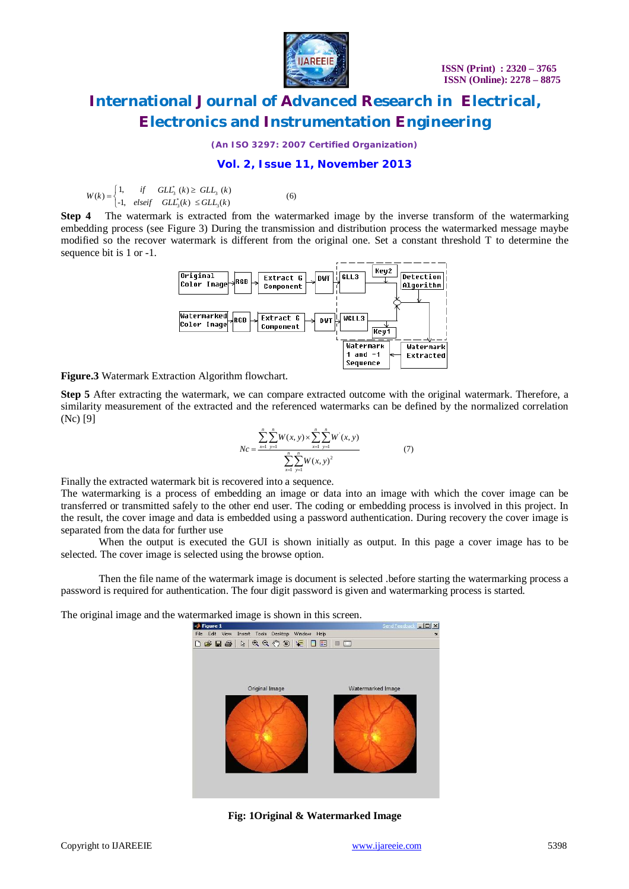

*(An ISO 3297: 2007 Certified Organization)*

### **Vol. 2, Issue 11, November 2013**

 $L_3^*(k) \geq GL_3$ <br>  $L_3^*(k) \leq GL_3$  $(k) =\begin{cases} 1, & if \quad GL_{3}^{*} \ (k) \ge GL_{3} \ (k) \\ -1, & else \text{if} \quad GL_{3}^{*}(k) \le GL_{3}(k) \end{cases}$  (6)  $W(k) = \begin{cases} 1, & \text{if } GLL_3^*(k) \geq GL_3^*(k) \\ -1, & \text{elseif } GL_{3}^*(k) \leq GL_{3}(k) \end{cases}$  $=\begin{cases} 1, & if \quad GL_{3}^{*}(k) \ge 1, \\ -1, & elseif \quad GL_{3}^{*}(k) \le 1 \end{cases}$ 

**Step 4** The watermark is extracted from the watermarked image by the inverse transform of the watermarking embedding process (see Figure 3) During the transmission and distribution process the watermarked message maybe modified so the recover watermark is different from the original one. Set a constant threshold T to determine the sequence bit is 1 or -1.



**Figure.3** Watermark Extraction Algorithm flowchart.

**Step 5** After extracting the watermark, we can compare extracted outcome with the original watermark. Therefore, a similarity measurement of the extracted and the referenced watermarks can be defined by the normalized correlation (Nc) [9]

$$
Nc = \frac{\sum_{x=1}^{n} \sum_{y=1}^{n} W(x, y) \times \sum_{x=1}^{n} \sum_{y=1}^{n} W^{'}(x, y)}{\sum_{x=1}^{n} \sum_{y=1}^{n} W(x, y)^{2}}
$$
(7)

Finally the extracted watermark bit is recovered into a sequence.

The watermarking is a process of embedding an image or data into an image with which the cover image can be transferred or transmitted safely to the other end user. The coding or embedding process is involved in this project. In the result, the cover image and data is embedded using a password authentication. During recovery the cover image is separated from the data for further use

When the output is executed the GUI is shown initially as output. In this page a cover image has to be selected. The cover image is selected using the browse option.

Then the file name of the watermark image is document is selected .before starting the watermarking process a password is required for authentication. The four digit password is given and watermarking process is started.

The original image and the watermarked image is shown in this screen.



**Fig: 1Original & Watermarked Image**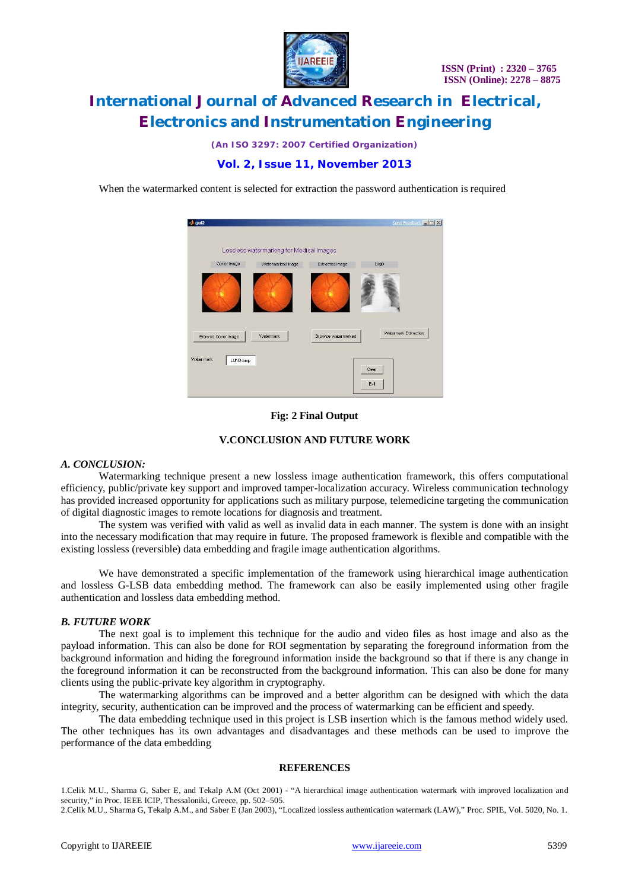

*(An ISO 3297: 2007 Certified Organization)*

## **Vol. 2, Issue 11, November 2013**

When the watermarked content is selected for extraction the password authentication is required



### **Fig: 2 Final Output**

#### **V.CONCLUSION AND FUTURE WORK**

#### *A. CONCLUSION:*

Watermarking technique present a new lossless image authentication framework, this offers computational efficiency, public/private key support and improved tamper-localization accuracy. Wireless communication technology has provided increased opportunity for applications such as military purpose, telemedicine targeting the communication of digital diagnostic images to remote locations for diagnosis and treatment.

The system was verified with valid as well as invalid data in each manner. The system is done with an insight into the necessary modification that may require in future. The proposed framework is flexible and compatible with the existing lossless (reversible) data embedding and fragile image authentication algorithms.

We have demonstrated a specific implementation of the framework using hierarchical image authentication and lossless G-LSB data embedding method. The framework can also be easily implemented using other fragile authentication and lossless data embedding method.

#### *B. FUTURE WORK*

The next goal is to implement this technique for the audio and video files as host image and also as the payload information. This can also be done for ROI segmentation by separating the foreground information from the background information and hiding the foreground information inside the background so that if there is any change in the foreground information it can be reconstructed from the background information. This can also be done for many clients using the public-private key algorithm in cryptography.

The watermarking algorithms can be improved and a better algorithm can be designed with which the data integrity, security, authentication can be improved and the process of watermarking can be efficient and speedy.

The data embedding technique used in this project is LSB insertion which is the famous method widely used. The other techniques has its own advantages and disadvantages and these methods can be used to improve the performance of the data embedding

#### **REFERENCES**

1.Celik M.U., Sharma G, Saber E, and Tekalp A.M (Oct 2001) - "A hierarchical image authentication watermark with improved localization and security," in Proc. IEEE ICIP, Thessaloniki, Greece, pp. 502–505.

2.Celik M.U., Sharma G, Tekalp A.M., and Saber E (Jan 2003), "Localized lossless authentication watermark (LAW)," Proc. SPIE, Vol. 5020, No. 1.